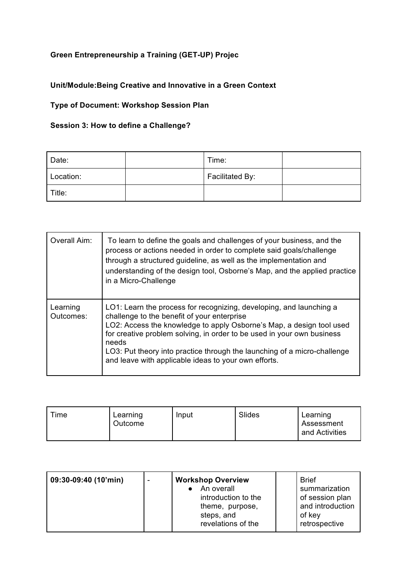## **Green Entrepreneurship a Training (GET-UP) Projec**

## **Unit/Module:Being Creative and Innovative in a Green Context**

## **Type of Document: Workshop Session Plan**

## **Session 3: How to define a Challenge?**

| Date:     | Time:           |  |
|-----------|-----------------|--|
| Location: | Facilitated By: |  |
| Title:    |                 |  |

| Overall Aim:          | To learn to define the goals and challenges of your business, and the<br>process or actions needed in order to complete said goals/challenge<br>through a structured guideline, as well as the implementation and<br>understanding of the design tool, Osborne's Map, and the applied practice<br>in a Micro-Challenge                                                                                            |
|-----------------------|-------------------------------------------------------------------------------------------------------------------------------------------------------------------------------------------------------------------------------------------------------------------------------------------------------------------------------------------------------------------------------------------------------------------|
| Learning<br>Outcomes: | LO1: Learn the process for recognizing, developing, and launching a<br>challenge to the benefit of your enterprise<br>LO2: Access the knowledge to apply Osborne's Map, a design tool used<br>for creative problem solving, in order to be used in your own business<br>needs<br>LO3: Put theory into practice through the launching of a micro-challenge<br>and leave with applicable ideas to your own efforts. |

| Time | Learning<br>Outcome | Input | Slides | Learning<br>Assessment<br>and Activities |
|------|---------------------|-------|--------|------------------------------------------|
|------|---------------------|-------|--------|------------------------------------------|

| 09:30-09:40 (10'min) |  | <b>Workshop Overview</b><br>An overall<br>introduction to the<br>theme, purpose,<br>steps, and<br>revelations of the |  | <b>Brief</b><br>summarization<br>of session plan<br>and introduction<br>of key<br>retrospective |
|----------------------|--|----------------------------------------------------------------------------------------------------------------------|--|-------------------------------------------------------------------------------------------------|
|----------------------|--|----------------------------------------------------------------------------------------------------------------------|--|-------------------------------------------------------------------------------------------------|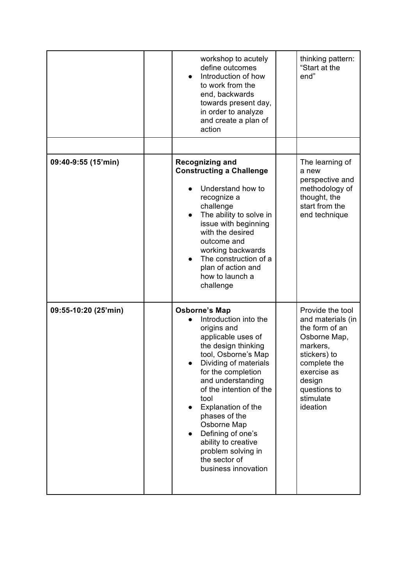|                      | workshop to acutely<br>define outcomes<br>Introduction of how<br>$\bullet$<br>to work from the<br>end, backwards<br>towards present day,<br>in order to analyze<br>and create a plan of<br>action                                                                                                                                                                                                                    | thinking pattern:<br>"Start at the<br>end"                                                                                                                                            |
|----------------------|----------------------------------------------------------------------------------------------------------------------------------------------------------------------------------------------------------------------------------------------------------------------------------------------------------------------------------------------------------------------------------------------------------------------|---------------------------------------------------------------------------------------------------------------------------------------------------------------------------------------|
|                      |                                                                                                                                                                                                                                                                                                                                                                                                                      |                                                                                                                                                                                       |
| 09:40-9:55 (15'min)  | <b>Recognizing and</b><br><b>Constructing a Challenge</b><br>Understand how to<br>recognize a<br>challenge<br>The ability to solve in<br>issue with beginning<br>with the desired<br>outcome and<br>working backwards<br>The construction of a<br>plan of action and<br>how to launch a<br>challenge                                                                                                                 | The learning of<br>a new<br>perspective and<br>methodology of<br>thought, the<br>start from the<br>end technique                                                                      |
| 09:55-10:20 (25'min) | <b>Osborne's Map</b><br>Introduction into the<br>origins and<br>applicable uses of<br>the design thinking<br>tool, Osborne's Map<br>Dividing of materials<br>for the completion<br>and understanding<br>of the intention of the<br>tool<br>Explanation of the<br>phases of the<br>Osborne Map<br>Defining of one's<br>$\bullet$<br>ability to creative<br>problem solving in<br>the sector of<br>business innovation | Provide the tool<br>and materials (in<br>the form of an<br>Osborne Map,<br>markers,<br>stickers) to<br>complete the<br>exercise as<br>design<br>questions to<br>stimulate<br>ideation |